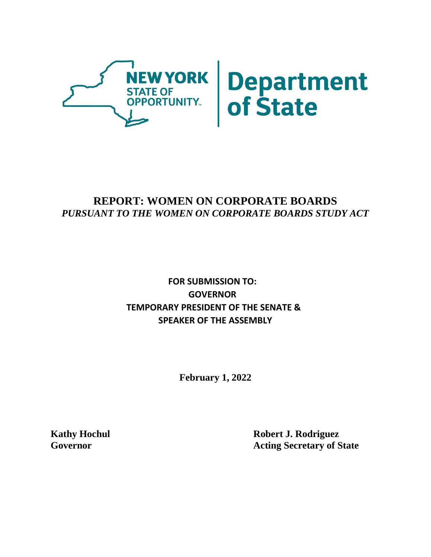

# **REPORT: WOMEN ON CORPORATE BOARDS** *PURSUANT TO THE WOMEN ON CORPORATE BOARDS STUDY ACT*

# **FOR SUBMISSION TO: GOVERNOR TEMPORARY PRESIDENT OF THE SENATE & SPEAKER OF THE ASSEMBLY**

**February 1, 2022**

**Kathy Hochul Robert J. Rodriguez Governor Acting Secretary of State**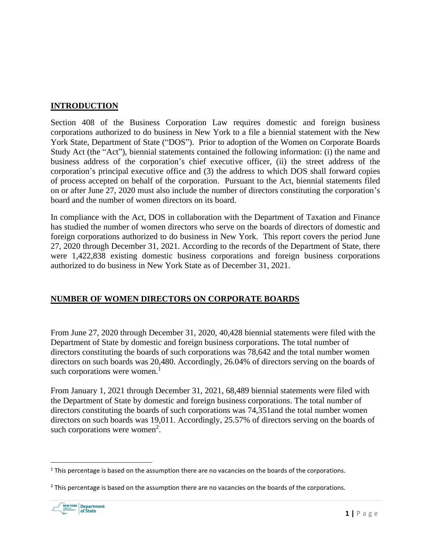#### **INTRODUCTION**

Section 408 of the Business Corporation Law requires domestic and foreign business corporations authorized to do business in New York to a file a biennial statement with the New York State, Department of State ("DOS"). Prior to adoption of the Women on Corporate Boards Study Act (the "Act"), biennial statements contained the following information: (i) the name and business address of the corporation's chief executive officer, (ii) the street address of the corporation's principal executive office and (3) the address to which DOS shall forward copies of process accepted on behalf of the corporation. Pursuant to the Act, biennial statements filed on or after June 27, 2020 must also include the number of directors constituting the corporation's board and the number of women directors on its board.

In compliance with the Act, DOS in collaboration with the Department of Taxation and Finance has studied the number of women directors who serve on the boards of directors of domestic and foreign corporations authorized to do business in New York. This report covers the period June 27, 2020 through December 31, 2021. According to the records of the Department of State, there were 1,422,838 existing domestic business corporations and foreign business corporations authorized to do business in New York State as of December 31, 2021.

## **NUMBER OF WOMEN DIRECTORS ON CORPORATE BOARDS**

From June 27, 2020 through December 31, 2020, 40,428 biennial statements were filed with the Department of State by domestic and foreign business corporations. The total number of directors constituting the boards of such corporations was 78,642 and the total number women directors on such boards was 20,480. Accordingly, 26.04% of directors serving on the boards of such corporations were women.<sup>1</sup>

From January 1, 2021 through December 31, 2021, 68,489 biennial statements were filed with the Department of State by domestic and foreign business corporations. The total number of directors constituting the boards of such corporations was 74,351and the total number women directors on such boards was 19,011. Accordingly, 25.57% of directors serving on the boards of such corporations were women<sup>2</sup>.

 $2$  This percentage is based on the assumption there are no vacancies on the boards of the corporations.



 $1$  This percentage is based on the assumption there are no vacancies on the boards of the corporations.